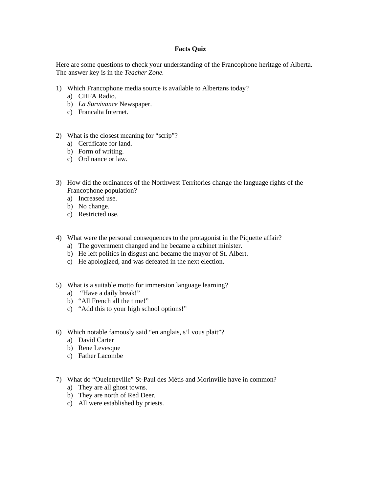## **Facts Quiz**

Here are some questions to check your understanding of the Francophone heritage of Alberta. The answer key is in the *Teacher Zone.* 

- 1) Which Francophone media source is available to Albertans today?
	- a) CHFA Radio.
	- b) *La Survivance* Newspaper.
	- c) Francalta Internet.
- 2) What is the closest meaning for "scrip"?
	- a) Certificate for land.
	- b) Form of writing.
	- c) Ordinance or law.
- 3) How did the ordinances of the Northwest Territories change the language rights of the Francophone population?
	- a) Increased use.
	- b) No change.
	- c) Restricted use.
- 4) What were the personal consequences to the protagonist in the Piquette affair?
	- a) The government changed and he became a cabinet minister.
	- b) He left politics in disgust and became the mayor of St. Albert.
	- c) He apologized, and was defeated in the next election.
- 5) What is a suitable motto for immersion language learning?
	- a) "Have a daily break!"
	- b) "All French all the time!"
	- c) "Add this to your high school options!"
- 6) Which notable famously said "en anglais, s'l vous plait"?
	- a) David Carter
	- b) Rene Levesque
	- c) Father Lacombe
- 7) What do "Oueletteville" St-Paul des Métis and Morinville have in common?
	- a) They are all ghost towns.
	- b) They are north of Red Deer.
	- c) All were established by priests.